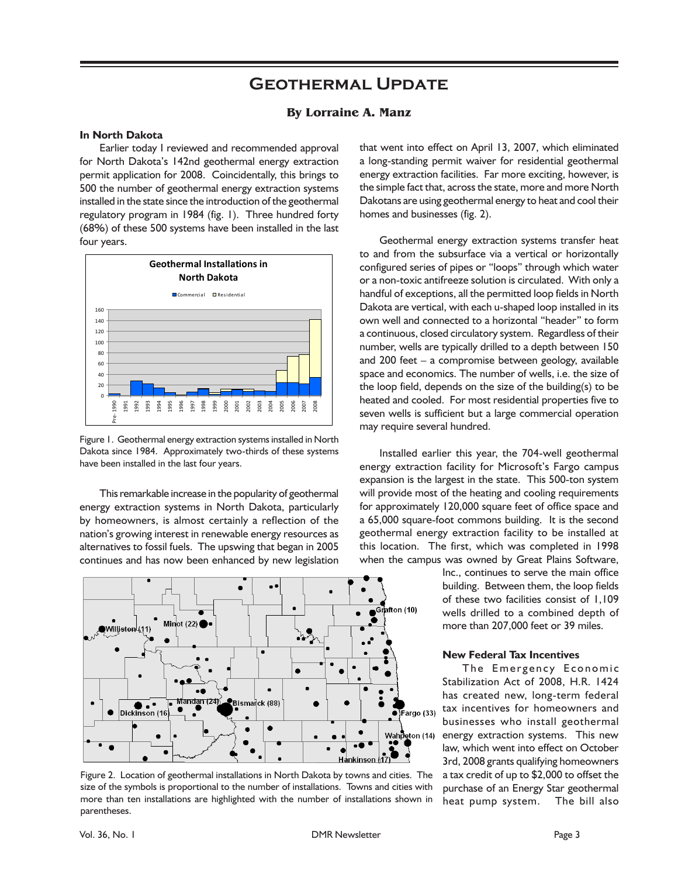# **Geothermal Update**

### **By Lorraine A. Manz**

### **In North Dakota**

Earlier today I reviewed and recommended approval for North Dakota's 142nd geothermal energy extraction permit application for 2008. Coincidentally, this brings to 500 the number of geothermal energy extraction systems installed in the state since the introduction of the geothermal regulatory program in 1984 (fig. 1). Three hundred forty (68%) of these 500 systems have been installed in the last four years.



Figure 1. Geothermal energy extraction systems installed in North Dakota since 1984. Approximately two-thirds of these systems have been installed in the last four years.

This remarkable increase in the popularity of geothermal energy extraction systems in North Dakota, particularly by homeowners, is almost certainly a reflection of the nation's growing interest in renewable energy resources as alternatives to fossil fuels. The upswing that began in 2005 continues and has now been enhanced by new legislation



Figure 2. Location of geothermal installations in North Dakota by towns and cities. The size of the symbols is proportional to the number of installations. Towns and cities with more than ten installations are highlighted with the number of installations shown in parentheses.

that went into effect on April 13, 2007, which eliminated a long-standing permit waiver for residential geothermal energy extraction facilities. Far more exciting, however, is the simple fact that, across the state, more and more North Dakotans are using geothermal energy to heat and cool their homes and businesses (fig. 2).

Geothermal energy extraction systems transfer heat to and from the subsurface via a vertical or horizontally configured series of pipes or "loops" through which water or a non-toxic antifreeze solution is circulated. With only a handful of exceptions, all the permitted loop fields in North Dakota are vertical, with each u-shaped loop installed in its own well and connected to a horizontal "header" to form a continuous, closed circulatory system. Regardless of their number, wells are typically drilled to a depth between 150 and 200 feet – a compromise between geology, available space and economics. The number of wells, i.e. the size of the loop field, depends on the size of the building(s) to be heated and cooled. For most residential properties five to seven wells is sufficient but a large commercial operation may require several hundred.

Installed earlier this year, the 704-well geothermal energy extraction facility for Microsoft's Fargo campus expansion is the largest in the state. This 500-ton system will provide most of the heating and cooling requirements for approximately 120,000 square feet of office space and a 65,000 square-foot commons building. It is the second geothermal energy extraction facility to be installed at this location. The first, which was completed in 1998 when the campus was owned by Great Plains Software,

> Inc., continues to serve the main office building. Between them, the loop fields of these two facilities consist of 1,109 wells drilled to a combined depth of more than 207,000 feet or 39 miles.

#### **New Federal Tax Incentives**

The Emergency Economic Stabilization Act of 2008, H.R. 1424 has created new, long-term federal tax incentives for homeowners and businesses who install geothermal energy extraction systems. This new law, which went into effect on October 3rd, 2008 grants qualifying homeowners a tax credit of up to \$2,000 to offset the purchase of an Energy Star geothermal heat pump system. The bill also